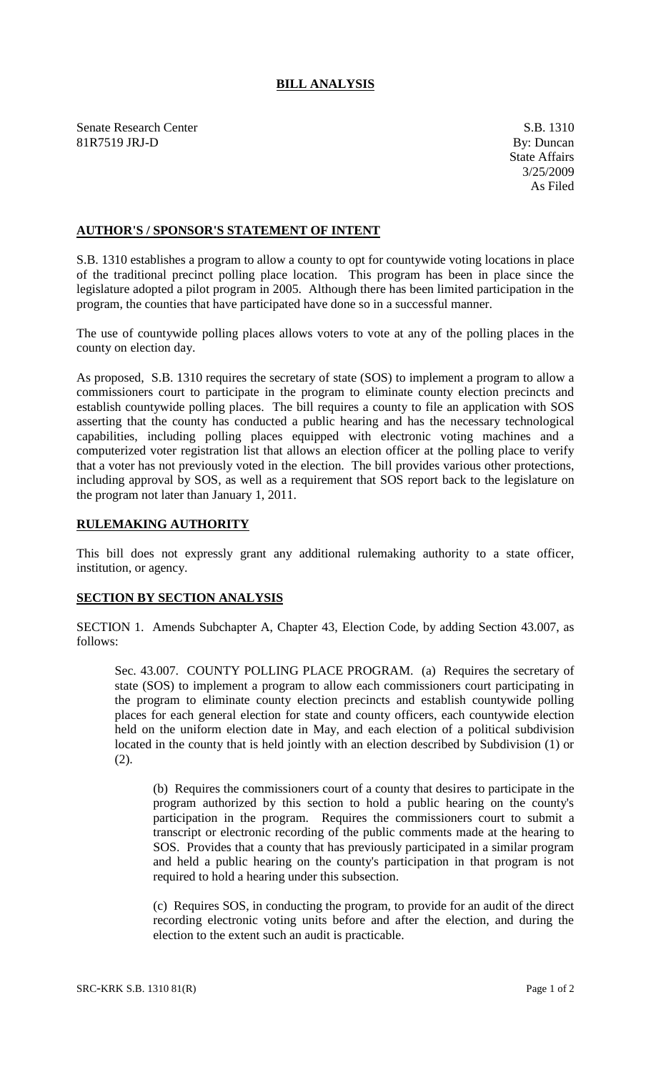## **BILL ANALYSIS**

Senate Research Center S.B. 1310 81R7519 JRJ-D By: Duncan

## **AUTHOR'S / SPONSOR'S STATEMENT OF INTENT**

S.B. 1310 establishes a program to allow a county to opt for countywide voting locations in place of the traditional precinct polling place location. This program has been in place since the legislature adopted a pilot program in 2005. Although there has been limited participation in the program, the counties that have participated have done so in a successful manner.

The use of countywide polling places allows voters to vote at any of the polling places in the county on election day.

As proposed, S.B. 1310 requires the secretary of state (SOS) to implement a program to allow a commissioners court to participate in the program to eliminate county election precincts and establish countywide polling places. The bill requires a county to file an application with SOS asserting that the county has conducted a public hearing and has the necessary technological capabilities, including polling places equipped with electronic voting machines and a computerized voter registration list that allows an election officer at the polling place to verify that a voter has not previously voted in the election. The bill provides various other protections, including approval by SOS, as well as a requirement that SOS report back to the legislature on the program not later than January 1, 2011.

## **RULEMAKING AUTHORITY**

This bill does not expressly grant any additional rulemaking authority to a state officer, institution, or agency.

## **SECTION BY SECTION ANALYSIS**

SECTION 1. Amends Subchapter A, Chapter 43, Election Code, by adding Section 43.007, as follows:

Sec. 43.007. COUNTY POLLING PLACE PROGRAM. (a) Requires the secretary of state (SOS) to implement a program to allow each commissioners court participating in the program to eliminate county election precincts and establish countywide polling places for each general election for state and county officers, each countywide election held on the uniform election date in May, and each election of a political subdivision located in the county that is held jointly with an election described by Subdivision (1) or (2).

(b) Requires the commissioners court of a county that desires to participate in the program authorized by this section to hold a public hearing on the county's participation in the program. Requires the commissioners court to submit a transcript or electronic recording of the public comments made at the hearing to SOS. Provides that a county that has previously participated in a similar program and held a public hearing on the county's participation in that program is not required to hold a hearing under this subsection.

(c) Requires SOS, in conducting the program, to provide for an audit of the direct recording electronic voting units before and after the election, and during the election to the extent such an audit is practicable.